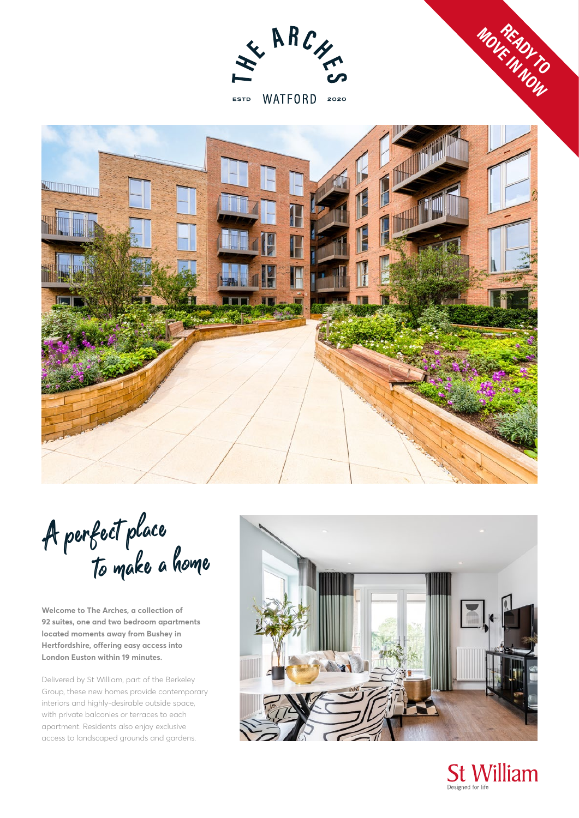

ESTD WATFORD 2020



A perfect place<br>To make a home

**Welcome to The Arches, a collection of 92 suites, one and two bedroom apartments located moments away from Bushey in Hertfordshire, offering easy access into London Euston within 19 minutes.**

Delivered by St William, part of the Berkeley Group, these new homes provide contemporary interiors and highly-desirable outside space, with private balconies or terraces to each apartment. Residents also enjoy exclusive access to landscaped grounds and gardens.





**MOVE IN NOW READY TO**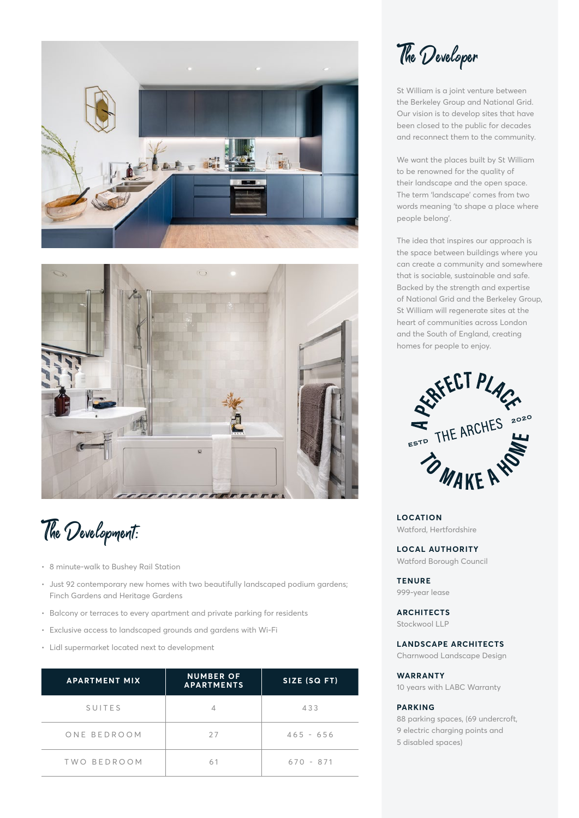



The Development:

- 8 minute-walk to Bushey Rail Station
- Just 92 contemporary new homes with two beautifully landscaped podium gardens; Finch Gardens and Heritage Gardens
- Balcony or terraces to every apartment and private parking for residents
- Exclusive access to landscaped grounds and gardens with Wi-Fi
- Lidl supermarket located next to development

| <b>APARTMENT MIX</b> | <b>NUMBER OF</b><br><b>APARTMENTS</b> | SIZE (SQ FT) |
|----------------------|---------------------------------------|--------------|
| SUITES               |                                       | 433          |
| ONE BEDROOM          | 27                                    | $465 - 656$  |
| TWO BEDROOM          | 61                                    | $670 - 871$  |

The Developer

St William is a joint venture between the Berkeley Group and National Grid. Our vision is to develop sites that have been closed to the public for decades and reconnect them to the community.

We want the places built by St William to be renowned for the quality of their landscape and the open space. The term 'landscape' comes from two words meaning 'to shape a place where people belong'.

The idea that inspires our approach is the space between buildings where you can create a community and somewhere that is sociable, sustainable and safe. Backed by the strength and expertise of National Grid and the Berkeley Group, St William will regenerate sites at the heart of communities across London and the South of England, creating homes for people to enjoy.



**LOCATION** Watford, Hertfordshire

**LOCAL AUTHORITY** Watford Borough Council

**TENURE** 999-year lease

**ARCHITECTS**

Stockwool LLP

**LANDSCAPE ARCHITECTS**

Charnwood Landscape Design

#### **WARRANTY**

10 years with LABC Warranty

## **PARKING**

88 parking spaces, (69 undercroft, 9 electric charging points and 5 disabled spaces)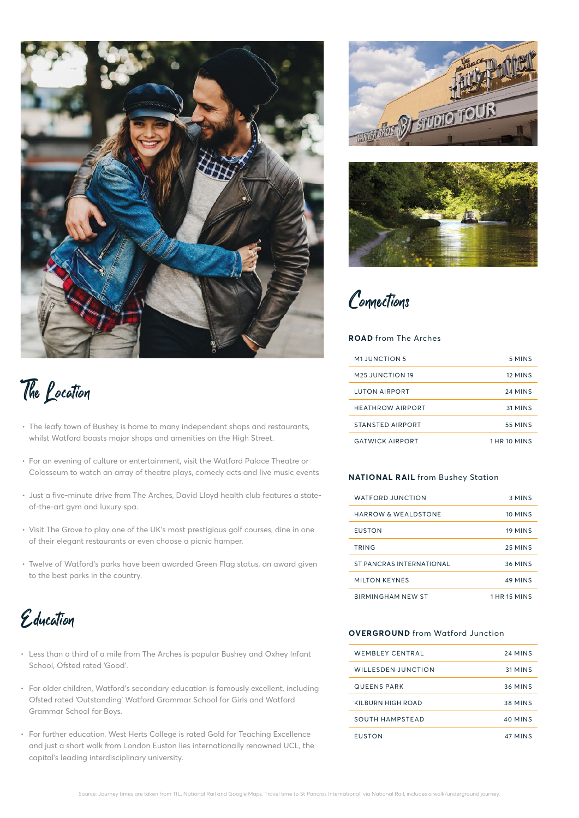



- The leafy town of Bushey is home to many independent shops and restaurants, whilst Watford boasts major shops and amenities on the High Street.
- For an evening of culture or entertainment, visit the Watford Palace Theatre or Colosseum to watch an array of theatre plays, comedy acts and live music events
- Just a five-minute drive from The Arches, David Lloyd health club features a stateof-the-art gym and luxury spa.
- Visit The Grove to play one of the UK's most prestigious golf courses, dine in one of their elegant restaurants or even choose a picnic hamper.
- Twelve of Watford's parks have been awarded Green Flag status, an award given to the best parks in the country.

Education

- Less than a third of a mile from The Arches is popular Bushey and Oxhey Infant School, Ofsted rated 'Good'.
- For older children, Watford's secondary education is famously excellent, including Ofsted rated 'Outstanding' Watford Grammar School for Girls and Watford Grammar School for Boys.
- For further education, West Herts College is rated Gold for Teaching Excellence and just a short walk from London Euston lies internationally renowned UCL, the capital's leading interdisciplinary university.





Connections

## **ROAD** from The Arches

| <b>M1 JUNCTION 5</b>        | 5 MINS         |
|-----------------------------|----------------|
| M <sub>25</sub> JUNCTION 19 | 12 MINS        |
| <b>LUTON AIRPORT</b>        | 24 MINS        |
| <b>HEATHROW AIRPORT</b>     | 31 MINS        |
| <b>STANSTED AIRPORT</b>     | <b>55 MINS</b> |
| <b>GATWICK AIRPORT</b>      | 1 HR 10 MINS   |

## **NATIONAL RAIL** from Bushey Station

| <b>WATFORD JUNCTION</b>        | 3 MINS         |
|--------------------------------|----------------|
| <b>HARROW &amp; WEALDSTONE</b> | 10 MINS        |
| <b>EUSTON</b>                  | 19 MINS        |
| TRING                          | 25 MINS        |
| ST PANCRAS INTERNATIONAL       | <b>36 MINS</b> |
| <b>MILTON KEYNES</b>           | 49 MINS        |
| <b>BIRMINGHAM NEW ST</b>       | 1 HR 15 MINS   |

### **OVERGROUND** from Watford Junction

| <b>WEMBLEY CENTRAL</b>    | 24 MINS        |
|---------------------------|----------------|
| <b>WILLESDEN JUNCTION</b> | 31 MINS        |
| <b>QUEENS PARK</b>        | <b>36 MINS</b> |
| KII BURN HIGH ROAD        | <b>38 MINS</b> |
| SOUTH HAMPSTEAD           | 40 MINS        |
| <b>FUSTON</b>             | 47 MINS        |